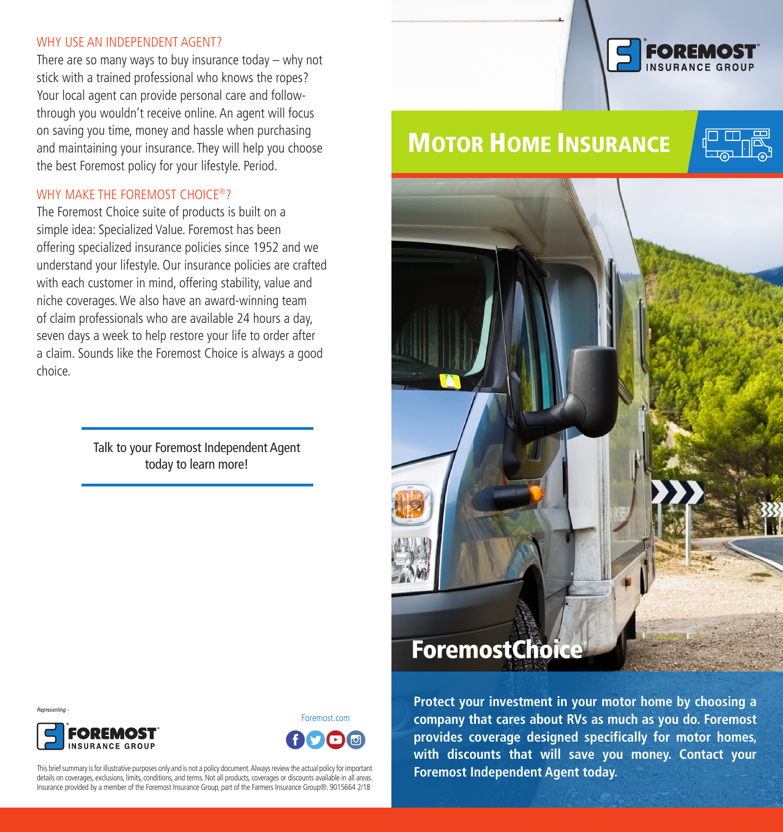### WHY USE AN INDEPENDENT AGENT?

There are so many ways to buy insurance today – why not stick with a trained professional who knows the ropes? Your local agent can provide personal care and followthrough you wouldn't receive online. An agent will focus on saving you time, money and hassle when purchasing and maintaining your insurance. They will help you choose the best Foremost policy for your lifestyle. Period.

# WHY MAKE THE FOREMOST CHOICE<sup>®</sup>?

The Foremost Choice suite of products is built on a simple idea: Specialized Value. Foremost has been offering specialized insurance policies since 1952 and we understand your lifestyle. Our insurance policies are crafted with each customer in mind, offering stability, value and niche coverages. We also have an award-winning team of claim professionals who are available 24 hours a day, seven days a week to help restore your life to order after a claim. Sounds like the Foremost Choice is always a good choice.

> Talk to your Foremost Independent Agent today to learn more!



# **MOTOR HOME INSURANCE**







Foremost.com

This brief summary is for illustrative purposes only and is not a policy document. Always review the actual policy for important details on coverages, exclusions, limits, conditions, and terms. Not all products, coverages or discounts available in all areas. Insurance provided by a member of the Foremost Insurance Group, part of the Farmers Insurance Group®. 9015664 2/18

**Protect your investment in your motor home by choosing a company that cares about RVs as much as you do. Foremost provides coverage designed specifically for motor homes, with discounts that will save you money. Contact your Foremost Independent Agent today.**